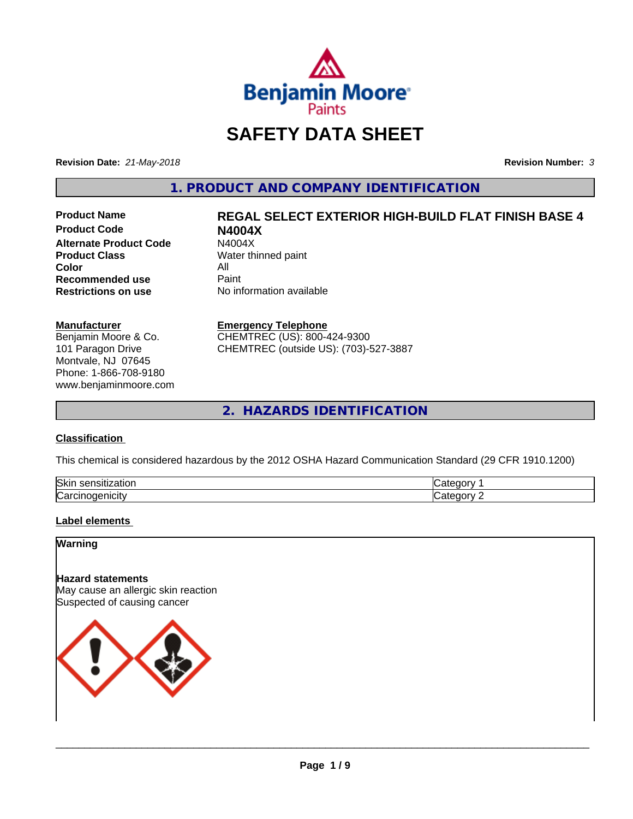

# **SAFETY DATA SHEET**

**Revision Date:** *21-May-2018* **Revision Number:** *3*

**1. PRODUCT AND COMPANY IDENTIFICATION**

**Product Code N4004X Alternate Product Code**<br>Product Class **Color** All<br> **Recommended use** Paint **Recommended use**<br>Restrictions on use

# **Product Name REGAL SELECT EXTERIOR HIGH-BUILD FLAT FINISH BASE 4**

**Water thinned paint No information available** 

#### **Manufacturer**

Benjamin Moore & Co. 101 Paragon Drive Montvale, NJ 07645 Phone: 1-866-708-9180 www.benjaminmoore.com

#### **Emergency Telephone**

CHEMTREC (US): 800-424-9300 CHEMTREC (outside US): (703)-527-3887

**2. HAZARDS IDENTIFICATION**

#### **Classification**

This chemical is considered hazardous by the 2012 OSHA Hazard Communication Standard (29 CFR 1910.1200)

| Skin<br>sensitization<br>zauon | и<br>п     |
|--------------------------------|------------|
| ∽                              | $n$ $\sim$ |
| Carcır                         | ∽.         |
| ⊸nicitv                        | и          |

#### **Label elements**

**Warning**

#### **Hazard statements**

May cause an allergic skin reaction Suspected of causing cancer

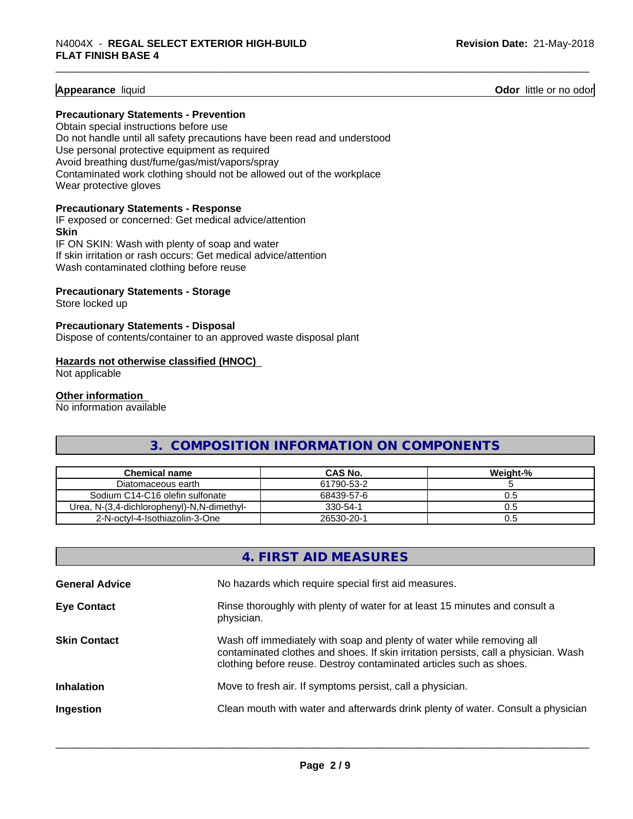#### **Appearance** liquid

**Odor** little or no odor

#### **Precautionary Statements - Prevention**

Obtain special instructions before use Do not handle until all safety precautions have been read and understood Use personal protective equipment as required Avoid breathing dust/fume/gas/mist/vapors/spray Contaminated work clothing should not be allowed out of the workplace

Wear protective gloves

#### **Precautionary Statements - Response**

IF exposed or concerned: Get medical advice/attention **Skin** IF ON SKIN: Wash with plenty of soap and water If skin irritation or rash occurs: Get medical advice/attention

Wash contaminated clothing before reuse

#### **Precautionary Statements - Storage**

Store locked up

#### **Precautionary Statements - Disposal**

Dispose of contents/container to an approved waste disposal plant

#### **Hazards not otherwise classified (HNOC)**

Not applicable

#### **Other information**

No information available

# **3. COMPOSITION INFORMATION ON COMPONENTS**

| <b>Chemical name</b>                       | <b>CAS No.</b> | Weight-% |
|--------------------------------------------|----------------|----------|
| Diatomaceous earth                         | 61790-53-2     |          |
| Sodium C14-C16 olefin sulfonate            | 68439-57-6     | U.5      |
| Urea, N-(3,4-dichlorophenyl)-N,N-dimethyl- | 330-54-1       | U.S      |
| 2-N-octvl-4-Isothiazolin-3-One             | 26530-20-1     | U.O      |

# **4. FIRST AID MEASURES**

| <b>General Advice</b> | No hazards which require special first aid measures.                                                                                                                                                                                |
|-----------------------|-------------------------------------------------------------------------------------------------------------------------------------------------------------------------------------------------------------------------------------|
| <b>Eye Contact</b>    | Rinse thoroughly with plenty of water for at least 15 minutes and consult a<br>physician.                                                                                                                                           |
| <b>Skin Contact</b>   | Wash off immediately with soap and plenty of water while removing all<br>contaminated clothes and shoes. If skin irritation persists, call a physician. Wash<br>clothing before reuse. Destroy contaminated articles such as shoes. |
| <b>Inhalation</b>     | Move to fresh air. If symptoms persist, call a physician.                                                                                                                                                                           |
| Ingestion             | Clean mouth with water and afterwards drink plenty of water. Consult a physician                                                                                                                                                    |
|                       |                                                                                                                                                                                                                                     |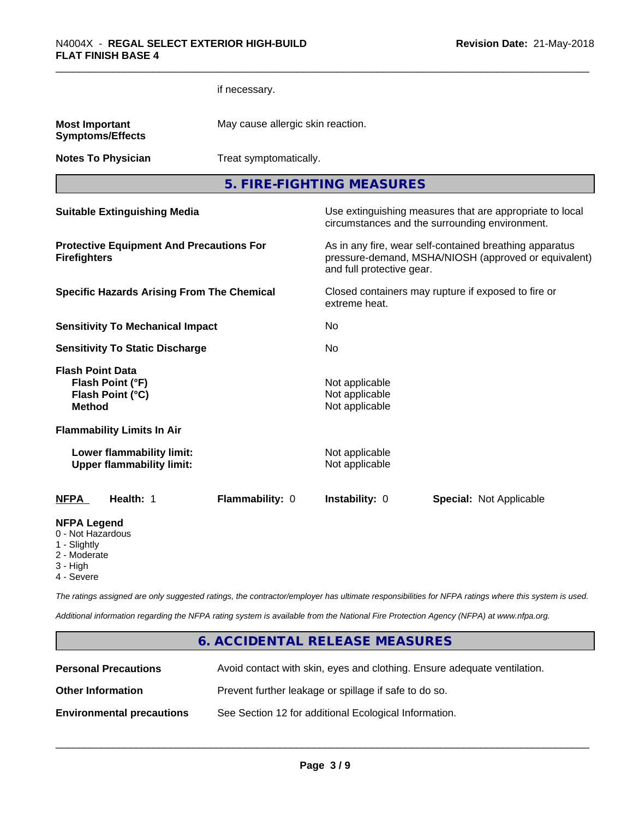|                                                                                                   |                                                               | if necessary.                                                        |                                                                                                                 |                         |
|---------------------------------------------------------------------------------------------------|---------------------------------------------------------------|----------------------------------------------------------------------|-----------------------------------------------------------------------------------------------------------------|-------------------------|
| <b>Most Important</b><br><b>Symptoms/Effects</b>                                                  |                                                               |                                                                      | May cause allergic skin reaction.                                                                               |                         |
| <b>Notes To Physician</b>                                                                         |                                                               |                                                                      | Treat symptomatically.                                                                                          |                         |
|                                                                                                   |                                                               |                                                                      | 5. FIRE-FIGHTING MEASURES                                                                                       |                         |
| <b>Suitable Extinguishing Media</b>                                                               |                                                               |                                                                      | Use extinguishing measures that are appropriate to local<br>circumstances and the surrounding environment.      |                         |
| <b>Protective Equipment And Precautions For</b><br><b>Firefighters</b>                            |                                                               | and full protective gear.                                            | As in any fire, wear self-contained breathing apparatus<br>pressure-demand, MSHA/NIOSH (approved or equivalent) |                         |
| <b>Specific Hazards Arising From The Chemical</b>                                                 |                                                               | Closed containers may rupture if exposed to fire or<br>extreme heat. |                                                                                                                 |                         |
| <b>Sensitivity To Mechanical Impact</b>                                                           |                                                               | No                                                                   |                                                                                                                 |                         |
| <b>Sensitivity To Static Discharge</b>                                                            |                                                               | No                                                                   |                                                                                                                 |                         |
| <b>Flash Point Data</b><br>Flash Point (°F)<br>Flash Point (°C)<br><b>Method</b>                  |                                                               |                                                                      | Not applicable<br>Not applicable<br>Not applicable                                                              |                         |
| <b>Flammability Limits In Air</b>                                                                 |                                                               |                                                                      |                                                                                                                 |                         |
|                                                                                                   | Lower flammability limit:<br><b>Upper flammability limit:</b> |                                                                      | Not applicable<br>Not applicable                                                                                |                         |
| <b>NFPA</b>                                                                                       | Health: 1                                                     | Flammability: 0                                                      | Instability: 0                                                                                                  | Special: Not Applicable |
| <b>NFPA Legend</b><br>0 - Not Hazardous<br>1 - Slightly<br>2 - Moderate<br>3 - High<br>4 - Severe |                                                               |                                                                      |                                                                                                                 |                         |

*The ratings assigned are only suggested ratings, the contractor/employer has ultimate responsibilities for NFPA ratings where this system is used.*

*Additional information regarding the NFPA rating system is available from the National Fire Protection Agency (NFPA) at www.nfpa.org.*

# **6. ACCIDENTAL RELEASE MEASURES**

| <b>Personal Precautions</b>      | Avoid contact with skin, eyes and clothing. Ensure adequate ventilation. |
|----------------------------------|--------------------------------------------------------------------------|
| <b>Other Information</b>         | Prevent further leakage or spillage if safe to do so.                    |
| <b>Environmental precautions</b> | See Section 12 for additional Ecological Information.                    |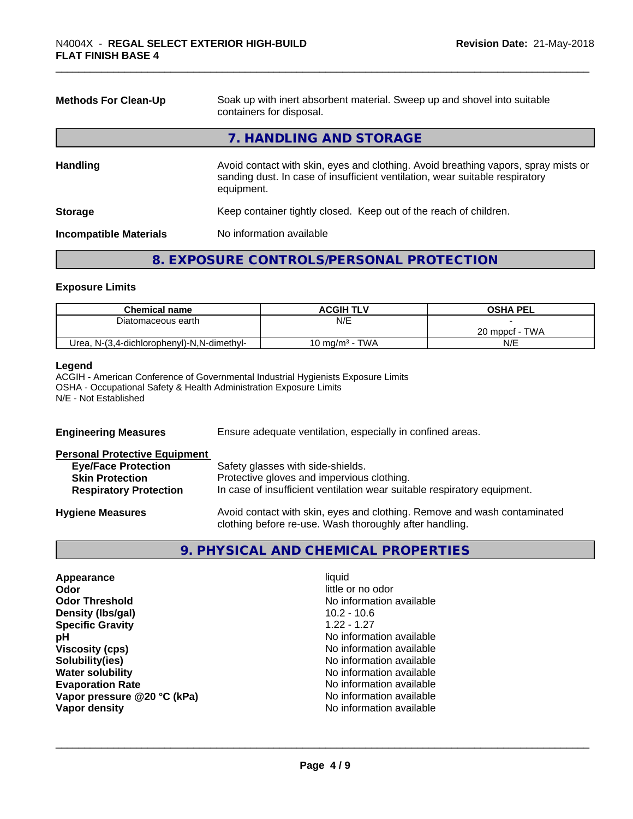| <b>Methods For Clean-Up</b>   | Soak up with inert absorbent material. Sweep up and shovel into suitable<br>containers for disposal.                                                                             |  |  |
|-------------------------------|----------------------------------------------------------------------------------------------------------------------------------------------------------------------------------|--|--|
|                               | 7. HANDLING AND STORAGE                                                                                                                                                          |  |  |
| <b>Handling</b>               | Avoid contact with skin, eyes and clothing. Avoid breathing vapors, spray mists or<br>sanding dust. In case of insufficient ventilation, wear suitable respiratory<br>equipment. |  |  |
| <b>Storage</b>                | Keep container tightly closed. Keep out of the reach of children.                                                                                                                |  |  |
| <b>Incompatible Materials</b> | No information available                                                                                                                                                         |  |  |

# **8. EXPOSURE CONTROLS/PERSONAL PROTECTION**

#### **Exposure Limits**

| <b>Chemical name</b>                       | <b>ACGIH TLV</b>  | <b>OSHA PEL</b> |
|--------------------------------------------|-------------------|-----------------|
| Diatomaceous earth                         | N/E               |                 |
|                                            |                   | 20 mppcf - TWA  |
| Urea, N-(3,4-dichlorophenyl)-N,N-dimethyl- | 10 mg/m $3$ - TWA | N/E             |

#### **Legend**

ACGIH - American Conference of Governmental Industrial Hygienists Exposure Limits OSHA - Occupational Safety & Health Administration Exposure Limits N/E - Not Established

| <b>Engineering Measures</b>          | Ensure adequate ventilation, especially in confined areas.                                                                          |
|--------------------------------------|-------------------------------------------------------------------------------------------------------------------------------------|
| <b>Personal Protective Equipment</b> |                                                                                                                                     |
| <b>Eye/Face Protection</b>           | Safety glasses with side-shields.                                                                                                   |
| <b>Skin Protection</b>               | Protective gloves and impervious clothing.                                                                                          |
| <b>Respiratory Protection</b>        | In case of insufficient ventilation wear suitable respiratory equipment.                                                            |
| <b>Hygiene Measures</b>              | Avoid contact with skin, eyes and clothing. Remove and wash contaminated<br>clothing before re-use. Wash thoroughly after handling. |
|                                      |                                                                                                                                     |

# **9. PHYSICAL AND CHEMICAL PROPERTIES**

**Appearance** and the contract of the contract of the contract of the contract of the contract of the contract of the contract of the contract of the contract of the contract of the contract of the contract of the contract little or no odor **No information available Density (lbs/gal)** 10.2 - 10.6 **Specific Gravity** 1.22 - 1.27 **No information available Viscosity (cps)** No information available **No information available No information available No information available Vapor pressure @20 °C (kPa)** No information available **No information available**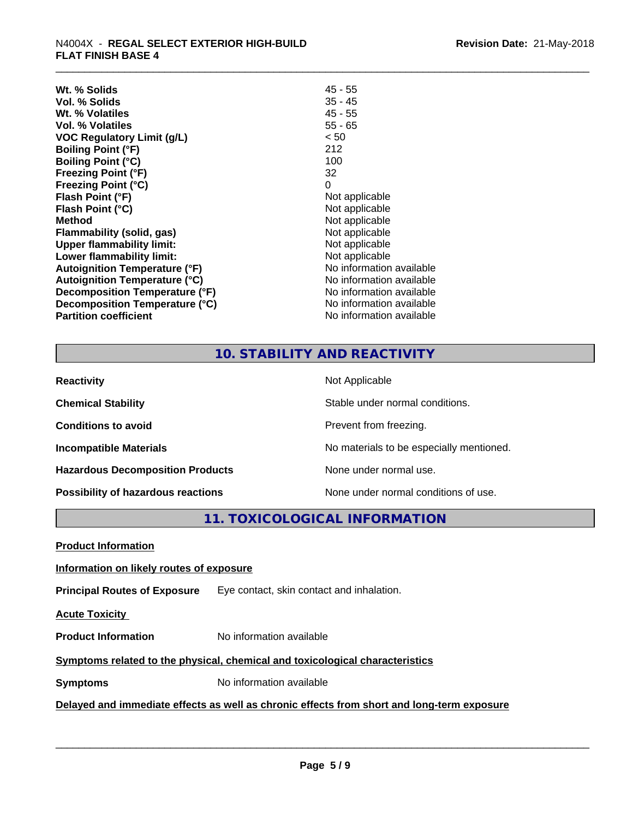| Wt. % Solids                         | $45 - 55$                |
|--------------------------------------|--------------------------|
| Vol. % Solids                        | $35 - 45$                |
| Wt. % Volatiles                      | $45 - 55$                |
| Vol. % Volatiles                     | $55 - 65$                |
| <b>VOC Regulatory Limit (g/L)</b>    | < 50                     |
| <b>Boiling Point (°F)</b>            | 212                      |
| <b>Boiling Point (°C)</b>            | 100                      |
| <b>Freezing Point (°F)</b>           | 32                       |
| <b>Freezing Point (°C)</b>           | 0                        |
| Flash Point (°F)                     | Not applicable           |
| Flash Point (°C)                     | Not applicable           |
| <b>Method</b>                        | Not applicable           |
| Flammability (solid, gas)            | Not applicable           |
| <b>Upper flammability limit:</b>     | Not applicable           |
| Lower flammability limit:            | Not applicable           |
| <b>Autoignition Temperature (°F)</b> | No information available |
| <b>Autoignition Temperature (°C)</b> | No information available |
| Decomposition Temperature (°F)       | No information available |
| Decomposition Temperature (°C)       | No information available |
| <b>Partition coefficient</b>         | No information available |

# **10. STABILITY AND REACTIVITY**

| <b>Reactivity</b>                       | Not Applicable                           |
|-----------------------------------------|------------------------------------------|
| <b>Chemical Stability</b>               | Stable under normal conditions.          |
| <b>Conditions to avoid</b>              | Prevent from freezing.                   |
| <b>Incompatible Materials</b>           | No materials to be especially mentioned. |
| <b>Hazardous Decomposition Products</b> | None under normal use.                   |
| Possibility of hazardous reactions      | None under normal conditions of use.     |

**11. TOXICOLOGICAL INFORMATION**

**Product Information**

#### **Information on likely routes of exposure**

**Principal Routes of Exposure** Eye contact, skin contact and inhalation.

**Acute Toxicity** 

**Product Information** No information available

### **Symptoms** related to the physical, chemical and toxicological characteristics

**Symptoms** No information available

# **Delayed and immediate effects as well as chronic effects from short and long-term exposure**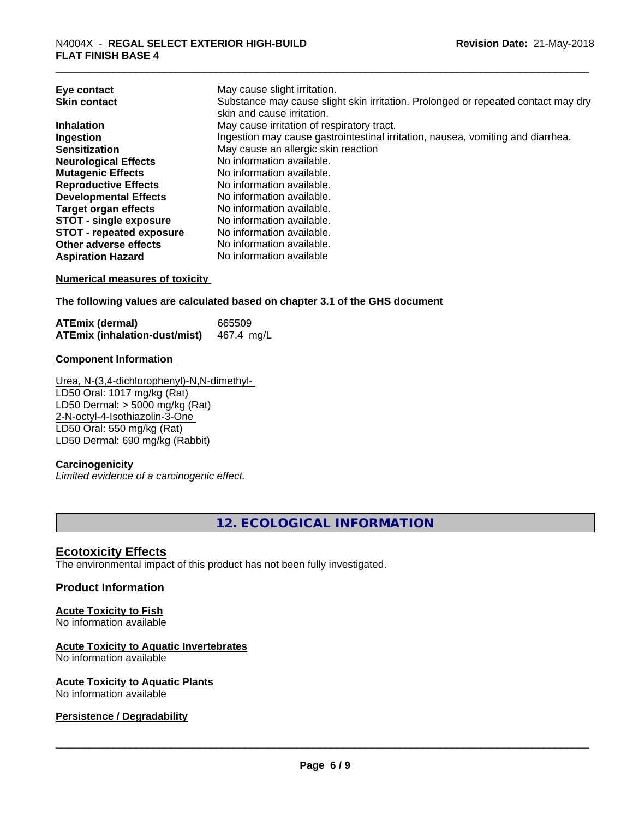| Eye contact<br><b>Skin contact</b> | May cause slight irritation.<br>Substance may cause slight skin irritation. Prolonged or repeated contact may dry<br>skin and cause irritation. |
|------------------------------------|-------------------------------------------------------------------------------------------------------------------------------------------------|
| <b>Inhalation</b>                  | May cause irritation of respiratory tract.                                                                                                      |
| Ingestion                          | Ingestion may cause gastrointestinal irritation, nausea, vomiting and diarrhea.                                                                 |
| <b>Sensitization</b>               | May cause an allergic skin reaction                                                                                                             |
| <b>Neurological Effects</b>        | No information available.                                                                                                                       |
| <b>Mutagenic Effects</b>           | No information available.                                                                                                                       |
| <b>Reproductive Effects</b>        | No information available.                                                                                                                       |
| <b>Developmental Effects</b>       | No information available.                                                                                                                       |
| <b>Target organ effects</b>        | No information available.                                                                                                                       |
| <b>STOT - single exposure</b>      | No information available.                                                                                                                       |
| <b>STOT - repeated exposure</b>    | No information available.                                                                                                                       |
| Other adverse effects              | No information available.                                                                                                                       |
| <b>Aspiration Hazard</b>           | No information available                                                                                                                        |

#### **Numerical measures of toxicity**

**The following values are calculated based on chapter 3.1 of the GHS document**

**ATEmix (dermal)** 665509 **ATEmix (inhalation-dust/mist)** 467.4 mg/L

#### **Component Information**

Urea, N-(3,4-dichlorophenyl)-N,N-dimethyl- LD50 Oral: 1017 mg/kg (Rat) LD50 Dermal: > 5000 mg/kg (Rat) 2-N-octyl-4-Isothiazolin-3-One LD50 Oral: 550 mg/kg (Rat) LD50 Dermal: 690 mg/kg (Rabbit)

#### **Carcinogenicity**

*Limited evidence of a carcinogenic effect.*

**12. ECOLOGICAL INFORMATION**

#### **Ecotoxicity Effects**

The environmental impact of this product has not been fully investigated.

#### **Product Information**

#### **Acute Toxicity to Fish** No information available

# **Acute Toxicity to Aquatic Invertebrates**

No information available

# **Acute Toxicity to Aquatic Plants**

No information available

# **Persistence / Degradability**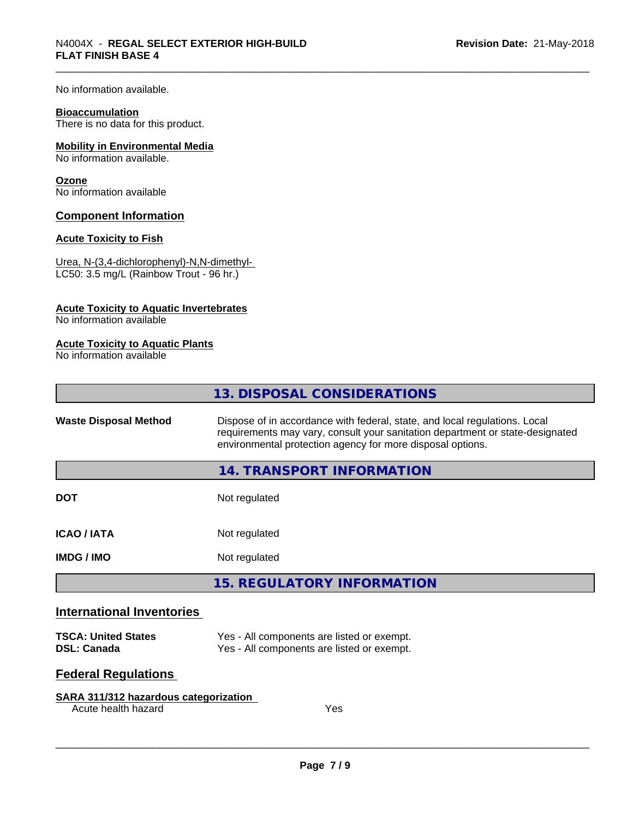No information available.

#### **Bioaccumulation**

There is no data for this product.

#### **Mobility in Environmental Media**

No information available.

#### **Ozone**

No information available

#### **Component Information**

#### **Acute Toxicity to Fish**

Urea, N-(3,4-dichlorophenyl)-N,N-dimethyl- LC50: 3.5 mg/L (Rainbow Trout - 96 hr.)

#### **Acute Toxicity to Aquatic Invertebrates**

No information available

#### **Acute Toxicity to Aquatic Plants**

No information available

|                                  | 13. DISPOSAL CONSIDERATIONS                                                                                                                                                                                               |
|----------------------------------|---------------------------------------------------------------------------------------------------------------------------------------------------------------------------------------------------------------------------|
| <b>Waste Disposal Method</b>     | Dispose of in accordance with federal, state, and local regulations. Local<br>requirements may vary, consult your sanitation department or state-designated<br>environmental protection agency for more disposal options. |
|                                  | 14. TRANSPORT INFORMATION                                                                                                                                                                                                 |
| <b>DOT</b>                       | Not regulated                                                                                                                                                                                                             |
| <b>ICAO / IATA</b>               | Not regulated                                                                                                                                                                                                             |
| <b>IMDG/IMO</b>                  | Not regulated                                                                                                                                                                                                             |
|                                  | <b>15. REGULATORY INFORMATION</b>                                                                                                                                                                                         |
| <b>International Inventories</b> |                                                                                                                                                                                                                           |

#### **TSCA: United States** Yes - All components are listed or exempt.<br> **DSL: Canada** Yes - All components are listed or exempt. Yes - All components are listed or exempt.

# **Federal Regulations**

#### **SARA 311/312 hazardous categorization**

Acute health hazard Yes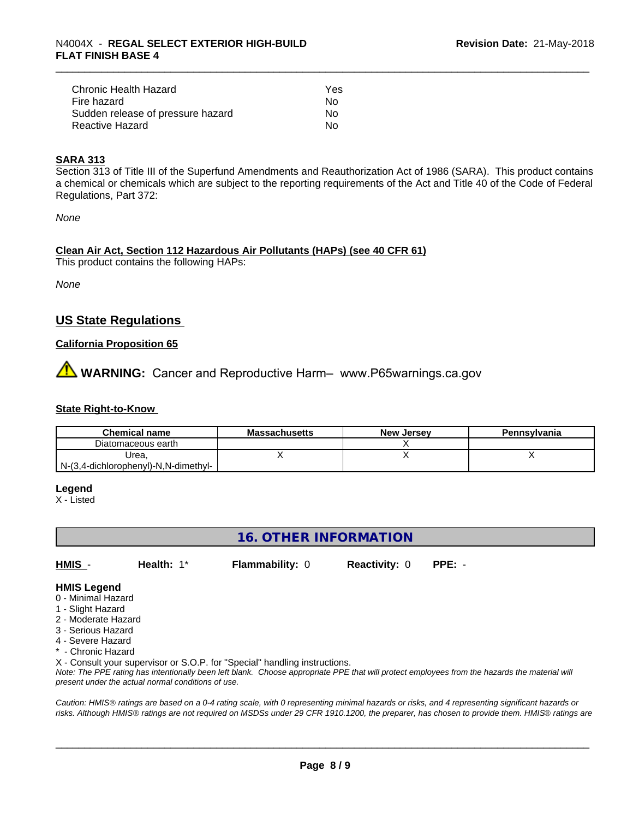| Chronic Health Hazard             | Yes |
|-----------------------------------|-----|
| Fire hazard                       | Nο  |
| Sudden release of pressure hazard | Nο  |
| Reactive Hazard                   | Nο  |

#### **SARA 313**

Section 313 of Title III of the Superfund Amendments and Reauthorization Act of 1986 (SARA). This product contains a chemical or chemicals which are subject to the reporting requirements of the Act and Title 40 of the Code of Federal Regulations, Part 372:

*None*

#### **Clean Air Act,Section 112 Hazardous Air Pollutants (HAPs) (see 40 CFR 61)**

This product contains the following HAPs:

*None*

# **US State Regulations**

#### **California Proposition 65**

**WARNING:** Cancer and Reproductive Harm– www.P65warnings.ca.gov

#### **State Right-to-Know**

| <b>Chemical name</b>                 | <b>Massachusetts</b> | <b>New Jersey</b> | Pennsylvania |
|--------------------------------------|----------------------|-------------------|--------------|
| Diatomaceous earth                   |                      |                   |              |
| Urea                                 |                      |                   |              |
| N-(3,4-dichlorophenyl)-N,N-dimethyl- |                      |                   |              |

#### **Legend**

X - Listed

# **16. OTHER INFORMATION**

**HMIS** - **Health:** 1\* **Flammability:** 0 **Reactivity:** 0 **PPE:** -

#### **HMIS Legend**

- 0 Minimal Hazard
- 1 Slight Hazard
- 2 Moderate Hazard
- 3 Serious Hazard
- 4 Severe Hazard
- \* Chronic Hazard

X - Consult your supervisor or S.O.P. for "Special" handling instructions.

*Note: The PPE rating has intentionally been left blank. Choose appropriate PPE that will protect employees from the hazards the material will present under the actual normal conditions of use.*

*Caution: HMISÒ ratings are based on a 0-4 rating scale, with 0 representing minimal hazards or risks, and 4 representing significant hazards or risks. Although HMISÒ ratings are not required on MSDSs under 29 CFR 1910.1200, the preparer, has chosen to provide them. HMISÒ ratings are*